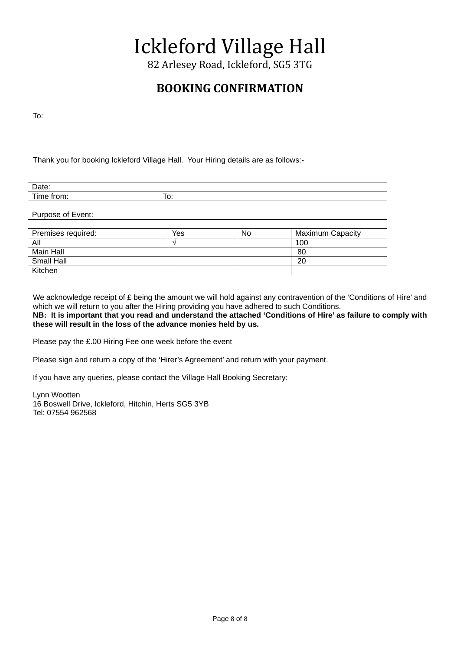# Ickleford Village Hall

82 Arlesey Road, Ickleford, SG5 3TG

## **BOOKING CONFIRMATION**

To:

Thank you for booking Ickleford Village Hall. Your Hiring details are as follows:-

| - |     |
|---|-----|
|   | . . |
|   |     |

Purpose of Event:

| Premises required: | Yes | No. | <b>Maximum Capacity</b> |
|--------------------|-----|-----|-------------------------|
| All                |     |     | 100                     |
| Main Hall          |     |     | 80                      |
| <b>Small Hall</b>  |     |     | 20                      |
| Kitchen            |     |     |                         |

We acknowledge receipt of £ being the amount we will hold against any contravention of the 'Conditions of Hire' and which we will return to you after the Hiring providing you have adhered to such Conditions.

**NB: It is important that you read and understand the attached 'Conditions of Hire' as failure to comply with these will result in the loss of the advance monies held by us.**

Please pay the £.00 Hiring Fee one week before the event

Please sign and return a copy of the 'Hirer's Agreement' and return with your payment.

If you have any queries, please contact the Village Hall Booking Secretary:

Lynn Wootten 16 Boswell Drive, Ickleford, Hitchin, Herts SG5 3YB Tel: 07554 962568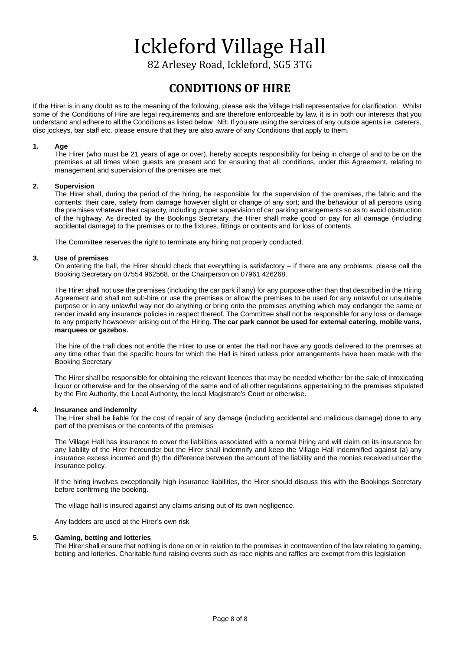# Ickleford Village Hall

82 Arlesey Road, Ickleford, SG5 3TG

### **CONDITIONS OF HIRE**

If the Hirer is in any doubt as to the meaning of the following, please ask the Village Hall representative for clarification. Whilst some of the Conditions of Hire are legal requirements and are therefore enforceable by law, it is in both our interests that you understand and adhere to all the Conditions as listed below. NB: If you are using the services of any outside agents i.e. caterers, disc jockeys, bar staff etc. please ensure that they are also aware of any Conditions that apply to them.

#### **1. Age**

The Hirer (who must be 21 years of age or over), hereby accepts responsibility for being in charge of and to be on the premises at all times when guests are present and for ensuring that all conditions, under this Agreement, relating to management and supervision of the premises are met.

#### **2. Supervision**

The Hirer shall, during the period of the hiring, be responsible for the supervision of the premises, the fabric and the contents; their care, safety from damage however slight or change of any sort; and the behaviour of all persons using the premises whatever their capacity, including proper supervision of car parking arrangements so as to avoid obstruction of the highway. As directed by the Bookings Secretary, the Hirer shall make good or pay for all damage (including accidental damage) to the premises or to the fixtures, fittings or contents and for loss of contents.

The Committee reserves the right to terminate any hiring not properly conducted.

#### **3. Use of premises**

On entering the hall, the Hirer should check that everything is satisfactory – if there are any problems, please call the Booking Secretary on 07554 962568, or the Chairperson on 07961 426268.

The Hirer shall not use the premises (including the car park if any) for any purpose other than that described in the Hiring Agreement and shall not sub-hire or use the premises or allow the premises to be used for any unlawful or unsuitable purpose or in any unlawful way nor do anything or bring onto the premises anything which may endanger the same or render invalid any insurance policies in respect thereof. The Committee shall not be responsible for any loss or damage to any property howsoever arising out of the Hiring. **The car park cannot be used for external catering, mobile vans, marquees or gazebos.**

The hire of the Hall does not entitle the Hirer to use or enter the Hall nor have any goods delivered to the premises at any time other than the specific hours for which the Hall is hired unless prior arrangements have been made with the Booking Secretary

The Hirer shall be responsible for obtaining the relevant licences that may be needed whether for the sale of intoxicating liquor or otherwise and for the observing of the same and of all other regulations appertaining to the premises stipulated by the Fire Authority, the Local Authority, the local Magistrate's Court or otherwise.

#### **4. Insurance and indemnity**

The Hirer shall be liable for the cost of repair of any damage (including accidental and malicious damage) done to any part of the premises or the contents of the premises

The Village Hall has insurance to cover the liabilities associated with a normal hiring and will claim on its insurance for any liability of the Hirer hereunder but the Hirer shall indemnify and keep the Village Hall indemnified against (a) any insurance excess incurred and (b) the difference between the amount of the liability and the monies received under the insurance policy.

If the hiring involves exceptionally high insurance liabilities, the Hirer should discuss this with the Bookings Secretary before confirming the booking.

The village hall is insured against any claims arising out of its own negligence.

Any ladders are used at the Hirer's own risk

#### **5. Gaming, betting and lotteries**

The Hirer shall ensure that nothing is done on or in relation to the premises in contravention of the law relating to gaming, betting and lotteries. Charitable fund raising events such as race nights and raffles are exempt from this legislation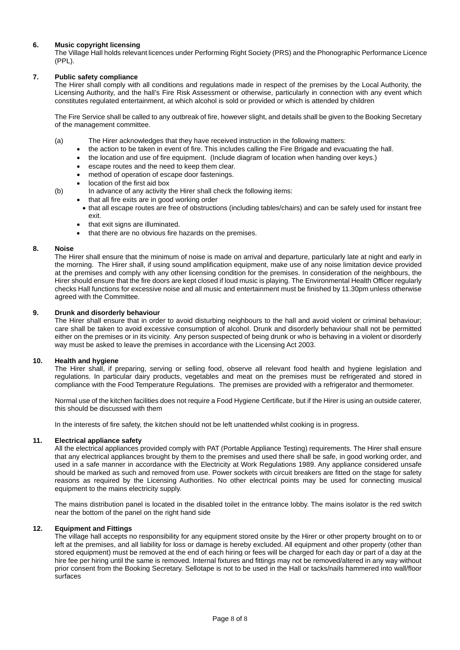#### **6. Music copyright licensing**

The Village Hall holds relevant licences under Performing Right Society (PRS) and the Phonographic Performance Licence (PPL).

#### **7. Public safety compliance**

The Hirer shall comply with all conditions and regulations made in respect of the premises by the Local Authority, the Licensing Authority, and the hall's Fire Risk Assessment or otherwise, particularly in connection with any event which constitutes regulated entertainment, at which alcohol is sold or provided or which is attended by children

The Fire Service shall be called to any outbreak of fire, however slight, and details shall be given to the Booking Secretary of the management committee.

- (a) The Hirer acknowledges that they have received instruction in the following matters:
	- the action to be taken in event of fire. This includes calling the Fire Brigade and evacuating the hall.
	- the location and use of fire equipment. (Include diagram of location when handing over keys.)
	- escape routes and the need to keep them clear.
	- method of operation of escape door fastenings.
	- location of the first aid box
- (b) In advance of any activity the Hirer shall check the following items:
	- that all fire exits are in good working order
	- that all escape routes are free of obstructions (including tables/chairs) and can be safely used for instant free exit.
	- that exit signs are illuminated.
	- that there are no obvious fire hazards on the premises.

#### **8. Noise**

The Hirer shall ensure that the minimum of noise is made on arrival and departure, particularly late at night and early in the morning. The Hirer shall, if using sound amplification equipment, make use of any noise limitation device provided at the premises and comply with any other licensing condition for the premises. In consideration of the neighbours, the Hirer should ensure that the fire doors are kept closed if loud music is playing. The Environmental Health Officer regularly checks Hall functions for excessive noise and all music and entertainment must be finished by 11.30pm unless otherwise agreed with the Committee.

#### **9. Drunk and disorderly behaviour**

The Hirer shall ensure that in order to avoid disturbing neighbours to the hall and avoid violent or criminal behaviour; care shall be taken to avoid excessive consumption of alcohol. Drunk and disorderly behaviour shall not be permitted either on the premises or in its vicinity. Any person suspected of being drunk or who is behaving in a violent or disorderly way must be asked to leave the premises in accordance with the Licensing Act 2003.

#### **10. Health and hygiene**

The Hirer shall, if preparing, serving or selling food, observe all relevant food health and hygiene legislation and regulations. In particular dairy products, vegetables and meat on the premises must be refrigerated and stored in compliance with the Food Temperature Regulations. The premises are provided with a refrigerator and thermometer.

Normal use of the kitchen facilities does not require a Food Hygiene Certificate, but if the Hirer is using an outside caterer, this should be discussed with them

In the interests of fire safety, the kitchen should not be left unattended whilst cooking is in progress.

#### **11. Electrical appliance safety**

All the electrical appliances provided comply with PAT (Portable Appliance Testing) requirements. The Hirer shall ensure that any electrical appliances brought by them to the premises and used there shall be safe, in good working order, and used in a safe manner in accordance with the Electricity at Work Regulations 1989. Any appliance considered unsafe should be marked as such and removed from use. Power sockets with circuit breakers are fitted on the stage for safety reasons as required by the Licensing Authorities. No other electrical points may be used for connecting musical equipment to the mains electricity supply.

The mains distribution panel is located in the disabled toilet in the entrance lobby. The mains isolator is the red switch near the bottom of the panel on the right hand side

#### **12. Equipment and Fittings**

The village hall accepts no responsibility for any equipment stored onsite by the Hirer or other property brought on to or left at the premises, and all liability for loss or damage is hereby excluded. All equipment and other property (other than stored equipment) must be removed at the end of each hiring or fees will be charged for each day or part of a day at the hire fee per hiring until the same is removed. Internal fixtures and fittings may not be removed/altered in any way without prior consent from the Booking Secretary. Sellotape is not to be used in the Hall or tacks/nails hammered into wall/floor surfaces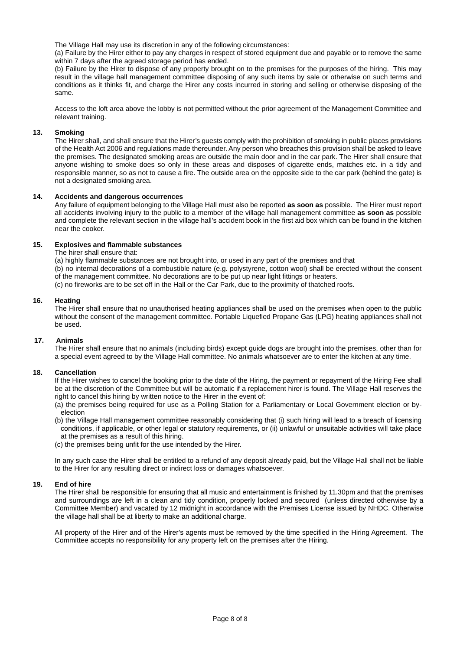The Village Hall may use its discretion in any of the following circumstances:

(a) Failure by the Hirer either to pay any charges in respect of stored equipment due and payable or to remove the same within 7 days after the agreed storage period has ended.

(b) Failure by the Hirer to dispose of any property brought on to the premises for the purposes of the hiring. This may result in the village hall management committee disposing of any such items by sale or otherwise on such terms and conditions as it thinks fit, and charge the Hirer any costs incurred in storing and selling or otherwise disposing of the same.

Access to the loft area above the lobby is not permitted without the prior agreement of the Management Committee and relevant training.

#### **13. Smoking**

The Hirer shall, and shall ensure that the Hirer's guests comply with the prohibition of smoking in public places provisions of the Health Act 2006 and regulations made thereunder. Any person who breaches this provision shall be asked to leave the premises. The designated smoking areas are outside the main door and in the car park. The Hirer shall ensure that anyone wishing to smoke does so only in these areas and disposes of cigarette ends, matches etc. in a tidy and responsible manner, so as not to cause a fire. The outside area on the opposite side to the car park (behind the gate) is not a designated smoking area.

#### **14. Accidents and dangerous occurrences**

Any failure of equipment belonging to the Village Hall must also be reported **as soon as** possible. The Hirer must report all accidents involving injury to the public to a member of the village hall management committee **as soon as** possible and complete the relevant section in the village hall's accident book in the first aid box which can be found in the kitchen near the cooker.

#### **15. Explosives and flammable substances**

The hirer shall ensure that:

(a) highly flammable substances are not brought into, or used in any part of the premises and that (b) no internal decorations of a combustible nature (e.g. polystyrene, cotton wool) shall be erected without the consent of the management committee. No decorations are to be put up near light fittings or heaters. (c) no fireworks are to be set off in the Hall or the Car Park, due to the proximity of thatched roofs.

#### **16. Heating**

The Hirer shall ensure that no unauthorised heating appliances shall be used on the premises when open to the public without the consent of the management committee. Portable Liquefied Propane Gas (LPG) heating appliances shall not be used.

#### **17. Animals**

The Hirer shall ensure that no animals (including birds) except guide dogs are brought into the premises, other than for a special event agreed to by the Village Hall committee. No animals whatsoever are to enter the kitchen at any time.

#### **18. Cancellation**

If the Hirer wishes to cancel the booking prior to the date of the Hiring, the payment or repayment of the Hiring Fee shall be at the discretion of the Committee but will be automatic if a replacement hirer is found. The Village Hall reserves the right to cancel this hiring by written notice to the Hirer in the event of:

(a) the premises being required for use as a Polling Station for a Parliamentary or Local Government election or byelection

(b) the Village Hall management committee reasonably considering that (i) such hiring will lead to a breach of licensing conditions, if applicable, or other legal or statutory requirements, or (ii) unlawful or unsuitable activities will take place at the premises as a result of this hiring.

(c) the premises being unfit for the use intended by the Hirer.

In any such case the Hirer shall be entitled to a refund of any deposit already paid, but the Village Hall shall not be liable to the Hirer for any resulting direct or indirect loss or damages whatsoever.

#### **19. End of hire**

The Hirer shall be responsible for ensuring that all music and entertainment is finished by 11.30pm and that the premises and surroundings are left in a clean and tidy condition, properly locked and secured (unless directed otherwise by a Committee Member) and vacated by 12 midnight in accordance with the Premises License issued by NHDC. Otherwise the village hall shall be at liberty to make an additional charge.

All property of the Hirer and of the Hirer's agents must be removed by the time specified in the Hiring Agreement. The Committee accepts no responsibility for any property left on the premises after the Hiring.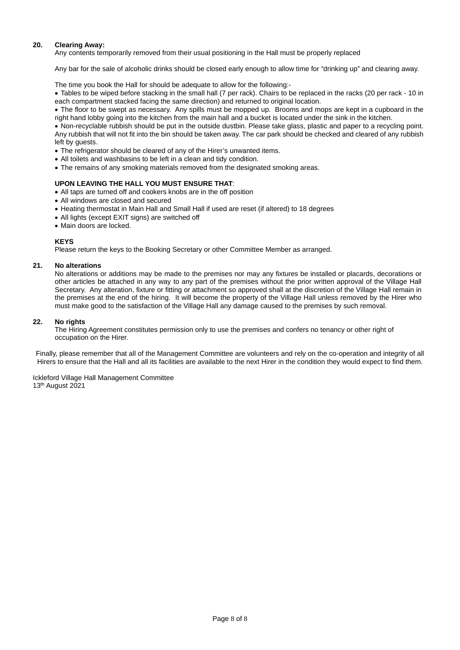#### **20. Clearing Away:**

Any contents temporarily removed from their usual positioning in the Hall must be properly replaced

Any bar for the sale of alcoholic drinks should be closed early enough to allow time for "drinking up" and clearing away.

The time you book the Hall for should be adequate to allow for the following:-

• Tables to be wiped before stacking in the small hall (7 per rack). Chairs to be replaced in the racks (20 per rack - 10 in each compartment stacked facing the same direction) and returned to original location.

• The floor to be swept as necessary. Any spills must be mopped up. Brooms and mops are kept in a cupboard in the right hand lobby going into the kitchen from the main hall and a bucket is located under the sink in the kitchen.

• Non-recyclable rubbish should be put in the outside dustbin. Please take glass, plastic and paper to a recycling point. Any rubbish that will not fit into the bin should be taken away. The car park should be checked and cleared of any rubbish left by guests.

- The refrigerator should be cleared of any of the Hirer's unwanted items.
- All toilets and washbasins to be left in a clean and tidy condition.
- The remains of any smoking materials removed from the designated smoking areas.

#### **UPON LEAVING THE HALL YOU MUST ENSURE THAT**:

- All taps are turned off and cookers knobs are in the off position
- All windows are closed and secured
- Heating thermostat in Main Hall and Small Hall if used are reset (if altered) to 18 degrees
- All lights (except EXIT signs) are switched off
- Main doors are locked.

#### **KEYS**

Please return the keys to the Booking Secretary or other Committee Member as arranged.

#### **21. No alterations**

No alterations or additions may be made to the premises nor may any fixtures be installed or placards, decorations or other articles be attached in any way to any part of the premises without the prior written approval of the Village Hall Secretary. Any alteration, fixture or fitting or attachment so approved shall at the discretion of the Village Hall remain in the premises at the end of the hiring. It will become the property of the Village Hall unless removed by the Hirer who must make good to the satisfaction of the Village Hall any damage caused to the premises by such removal.

#### **22. No rights**

The Hiring Agreement constitutes permission only to use the premises and confers no tenancy or other right of occupation on the Hirer.

Finally, please remember that all of the Management Committee are volunteers and rely on the co-operation and integrity of all Hirers to ensure that the Hall and all its facilities are available to the next Hirer in the condition they would expect to find them.

Ickleford Village Hall Management Committee 13th August 2021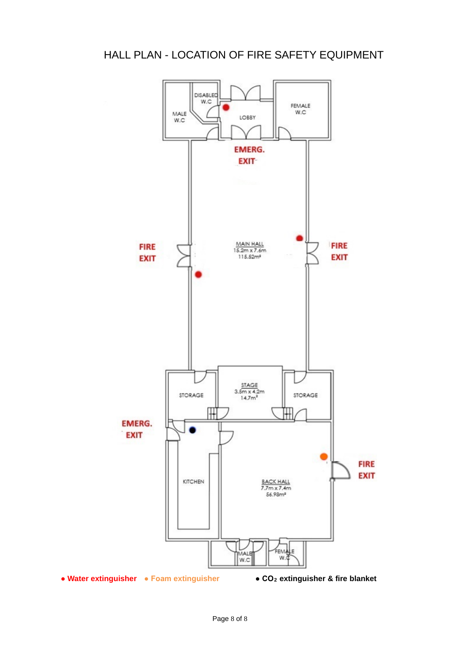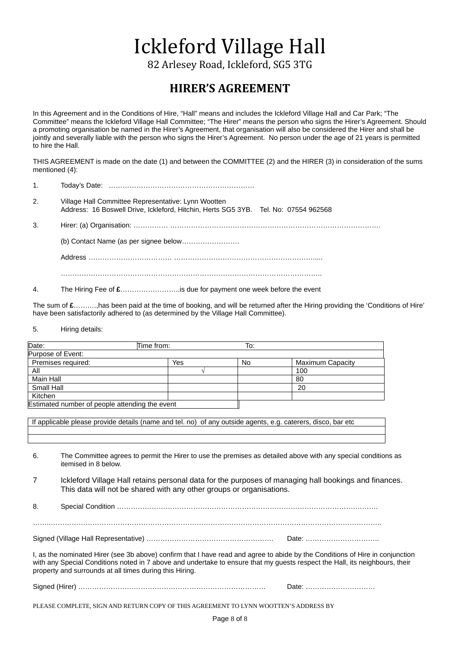# Ickleford Village Hall

82 Arlesey Road, Ickleford, SG5 3TG

## **HIRER'S AGREEMENT**

In this Agreement and in the Conditions of Hire, "Hall" means and includes the Ickleford Village Hall and Car Park; "The Committee" means the Ickleford Village Hall Committee; "The Hirer" means the person who signs the Hirer's Agreement. Should a promoting organisation be named in the Hirer's Agreement, that organisation will also be considered the Hirer and shall be jointly and severally liable with the person who signs the Hirer's Agreement. No person under the age of 21 years is permitted to hire the Hall.

THIS AGREEMENT is made on the date (1) and between the COMMITTEE (2) and the HIRER (3) in consideration of the sums mentioned (4):

| 1. |                                                                                                                                            |
|----|--------------------------------------------------------------------------------------------------------------------------------------------|
| 2. | Village Hall Committee Representative: Lynn Wootten<br>Address: 16 Boswell Drive, Ickleford, Hitchin, Herts SG5 3YB. Tel. No: 07554 962568 |
| 3. |                                                                                                                                            |
|    |                                                                                                                                            |
|    |                                                                                                                                            |

4. The Hiring Fee of **£**……………………..is due for payment one week before the event

…………………………………………………………………………………………………..

The sum of **£**…….…,has been paid at the time of booking, and will be returned after the Hiring providing the 'Conditions of Hire' have been satisfactorily adhered to (as determined by the Village Hall Committee).

5. Hiring details:

| Date:                                          | Time from: | To: |                  |
|------------------------------------------------|------------|-----|------------------|
| Purpose of Event:                              |            |     |                  |
| Premises required:                             | Yes        | No  | Maximum Capacity |
| All                                            |            |     | 100              |
| Main Hall                                      |            |     | 80               |
| Small Hall                                     |            |     | 20               |
| Kitchen                                        |            |     |                  |
| Estimated number of people attending the event |            |     |                  |

If applicable please provide details (name and tel. no) of any outside agents, e.g. caterers, disco, bar etc

6. The Committee agrees to permit the Hirer to use the premises as detailed above with any special conditions as itemised in 8 below.

7 Ickleford Village Hall retains personal data for the purposes of managing hall bookings and finances. This data will not be shared with any other groups or organisations.

8. Special Condition ………………………………………………………………………………………….……….

Signed (Village Hall Representative) ………………………………………………. Date: …………………………..

I, as the nominated Hirer (see 3b above) confirm that I have read and agree to abide by the Conditions of Hire in conjunction with any Special Conditions noted in 7 above and undertake to ensure that my quests respect the Hall, its neighbours, their property and surrounds at all times during this Hiring.

| $\sim$<br> |  |
|------------|--|
|------------|--|

PLEASE COMPLETE, SIGN AND RETURN COPY OF THIS AGREEMENT TO LYNN WOOTTEN'S ADDRESS BY